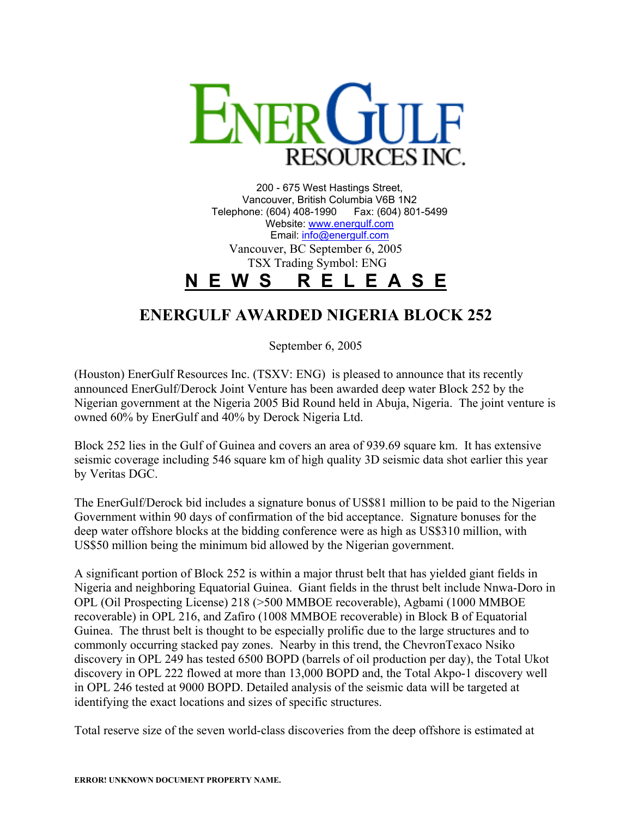

200 - 675 West Hastings Street, Vancouver, British Columbia V6B 1N2 Telephone: (604) 408-1990 Fax: (604) 801-5499 Website: [www.energulf.com](http://www.energulf.com/) Email: [info@energulf.com](mailto:info@energulf.com) Vancouver, BC September 6, 2005 TSX Trading Symbol: ENG **N E W S R E L E A S E**

## **ENERGULF AWARDED NIGERIA BLOCK 252**

September 6, 2005

(Houston) EnerGulf Resources Inc. (TSXV: ENG) is pleased to announce that its recently announced EnerGulf/Derock Joint Venture has been awarded deep water Block 252 by the Nigerian government at the Nigeria 2005 Bid Round held in Abuja, Nigeria. The joint venture is owned 60% by EnerGulf and 40% by Derock Nigeria Ltd.

Block 252 lies in the Gulf of Guinea and covers an area of 939.69 square km. It has extensive seismic coverage including 546 square km of high quality 3D seismic data shot earlier this year by Veritas DGC.

The EnerGulf/Derock bid includes a signature bonus of US\$81 million to be paid to the Nigerian Government within 90 days of confirmation of the bid acceptance. Signature bonuses for the deep water offshore blocks at the bidding conference were as high as US\$310 million, with US\$50 million being the minimum bid allowed by the Nigerian government.

A significant portion of Block 252 is within a major thrust belt that has yielded giant fields in Nigeria and neighboring Equatorial Guinea. Giant fields in the thrust belt include Nnwa-Doro in OPL (Oil Prospecting License) 218 (>500 MMBOE recoverable), Agbami (1000 MMBOE recoverable) in OPL 216, and Zafiro (1008 MMBOE recoverable) in Block B of Equatorial Guinea. The thrust belt is thought to be especially prolific due to the large structures and to commonly occurring stacked pay zones. Nearby in this trend, the ChevronTexaco Nsiko discovery in OPL 249 has tested 6500 BOPD (barrels of oil production per day), the Total Ukot discovery in OPL 222 flowed at more than 13,000 BOPD and, the Total Akpo-1 discovery well in OPL 246 tested at 9000 BOPD. Detailed analysis of the seismic data will be targeted at identifying the exact locations and sizes of specific structures.

Total reserve size of the seven world-class discoveries from the deep offshore is estimated at